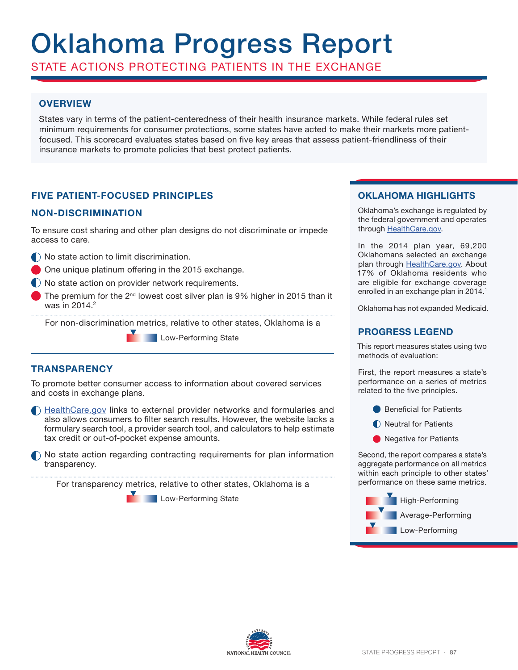# Oklahoma Progress Report

STATE ACTIONS PROTECTING PATIENTS IN THE EXCHANGE

# **OVERVIEW**

States vary in terms of the patient-centeredness of their health insurance markets. While federal rules set minimum requirements for consumer protections, some states have acted to make their markets more patientfocused. This scorecard evaluates states based on five key areas that assess patient-friendliness of their insurance markets to promote policies that best protect patients.

# **FIVE PATIENT-FOCUSED PRINCIPLES**

## **NON-DISCRIMINATION**

To ensure cost sharing and other plan designs do not discriminate or impede access to care.

- $\bigcap$  No state action to limit discrimination.
- One unique platinum offering in the 2015 exchange.
- No state action on provider network requirements.
- The premium for the  $2^{nd}$  lowest cost silver plan is 9% higher in 2015 than it was in  $2014.<sup>2</sup>$

For non-discrimination metrics, relative to other states, Oklahoma is a

**Low-Performing State** 

### **TRANSPARENCY**

To promote better consumer access to information about covered services and costs in exchange plans.

HealthCare.gov links to external provider networks and formularies and also allows consumers to filter search results. However, the website lacks a formulary search tool, a provider search tool, and calculators to help estimate tax credit or out-of-pocket expense amounts.

 $\bigcap$  No state action regarding contracting requirements for plan information transparency.

For transparency metrics, relative to other states, Oklahoma is a

**Low-Performing State** 

# **OKLAHOMA HIGHLIGHTS**

Oklahoma's exchange is regulated by the federal government and operates through HealthCare.gov.

In the 2014 plan year, 69,200 Oklahomans selected an exchange plan through HealthCare.gov. About 17% of Oklahoma residents who are eligible for exchange coverage enrolled in an exchange plan in 2014.<sup>1</sup>

Oklahoma has not expanded Medicaid.

## **PROGRESS LEGEND**

This report measures states using two methods of evaluation:

First, the report measures a state's performance on a series of metrics related to the five principles.

- **Beneficial for Patients**
- **Neutral for Patients**
- **Negative for Patients**

Second, the report compares a state's aggregate performance on all metrics within each principle to other states' performance on these same metrics.